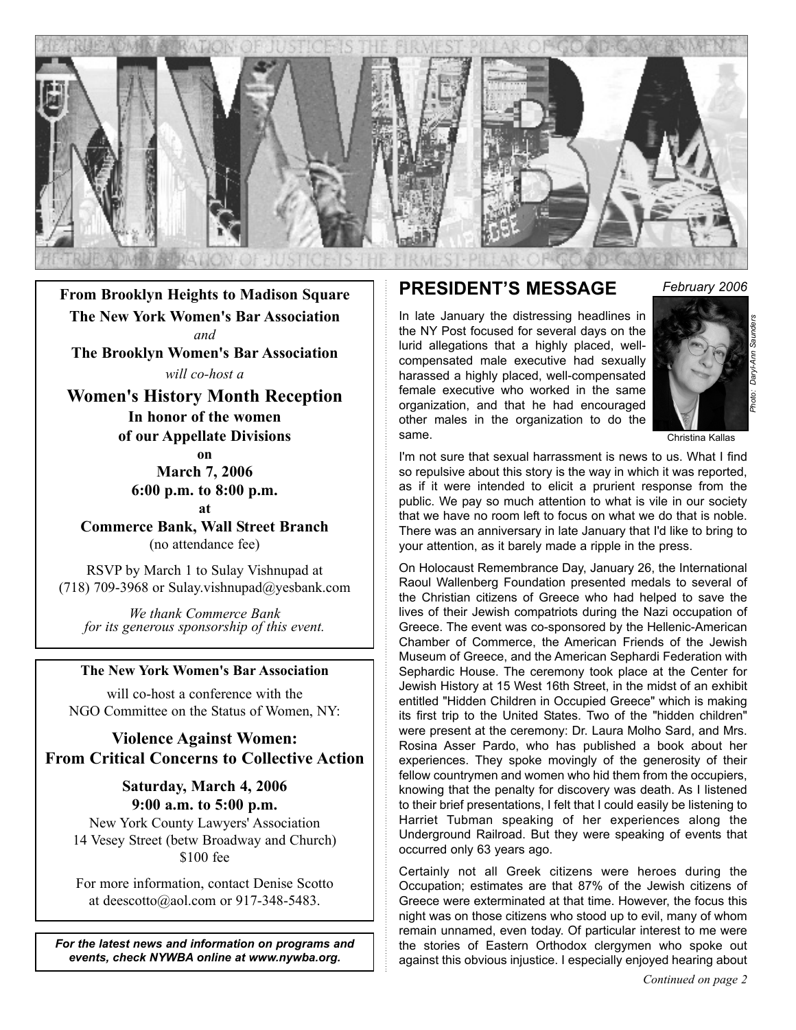

**From Brooklyn Heights to Madison Square The New York Women's Bar Association** *and*  **The Brooklyn Women's Bar Association**

*will co-host a*

**Women's History Month Reception In honor of the women of our Appellate Divisions**

**on**

**March 7, 2006 6:00 p.m. to 8:00 p.m. at**

**Commerce Bank, Wall Street Branch** (no attendance fee)

RSVP by March 1 to Sulay Vishnupad at (718) 709-3968 or Sulay.vishnupad@yesbank.com

*We thank Commerce Bank for its generous sponsorship of this event.*

#### **The New York Women's Bar Association**

will co-host a conference with the NGO Committee on the Status of Women, NY:

#### **Violence Against Women: From Critical Concerns to Collective Action**

**Saturday, March 4, 2006 9:00 a.m. to 5:00 p.m.**

New York County Lawyers' Association 14 Vesey Street (betw Broadway and Church) \$100 fee

For more information, contact Denise Scotto at deescotto@aol.com or 917-348-5483.

*For the latest news and information on programs and events, check NYWBA online at www.nywba.org.*

#### **PRESIDENT'S MESSAGE** *February 2006*

In late January the distressing headlines in the NY Post focused for several days on the lurid allegations that a highly placed, wellcompensated male executive had sexually harassed a highly placed, well-compensated female executive who worked in the same organization, and that he had encouraged other males in the organization to do the same.



Christina Kallas

I'm not sure that sexual harrassment is news to us. What I find so repulsive about this story is the way in which it was reported, as if it were intended to elicit a prurient response from the public. We pay so much attention to what is vile in our society that we have no room left to focus on what we do that is noble. There was an anniversary in late January that I'd like to bring to your attention, as it barely made a ripple in the press.

On Holocaust Remembrance Day, January 26, the International Raoul Wallenberg Foundation presented medals to several of the Christian citizens of Greece who had helped to save the lives of their Jewish compatriots during the Nazi occupation of Greece. The event was co-sponsored by the Hellenic-American Chamber of Commerce, the American Friends of the Jewish Museum of Greece, and the American Sephardi Federation with Sephardic House. The ceremony took place at the Center for Jewish History at 15 West 16th Street, in the midst of an exhibit entitled "Hidden Children in Occupied Greece" which is making its first trip to the United States. Two of the "hidden children" were present at the ceremony: Dr. Laura Molho Sard, and Mrs. Rosina Asser Pardo, who has published a book about her experiences. They spoke movingly of the generosity of their fellow countrymen and women who hid them from the occupiers, knowing that the penalty for discovery was death. As I listened to their brief presentations, I felt that I could easily be listening to Harriet Tubman speaking of her experiences along the Underground Railroad. But they were speaking of events that occurred only 63 years ago.

Certainly not all Greek citizens were heroes during the Occupation; estimates are that 87% of the Jewish citizens of Greece were exterminated at that time. However, the focus this night was on those citizens who stood up to evil, many of whom remain unnamed, even today. Of particular interest to me were the stories of Eastern Orthodox clergymen who spoke out against this obvious injustice. I especially enjoyed hearing about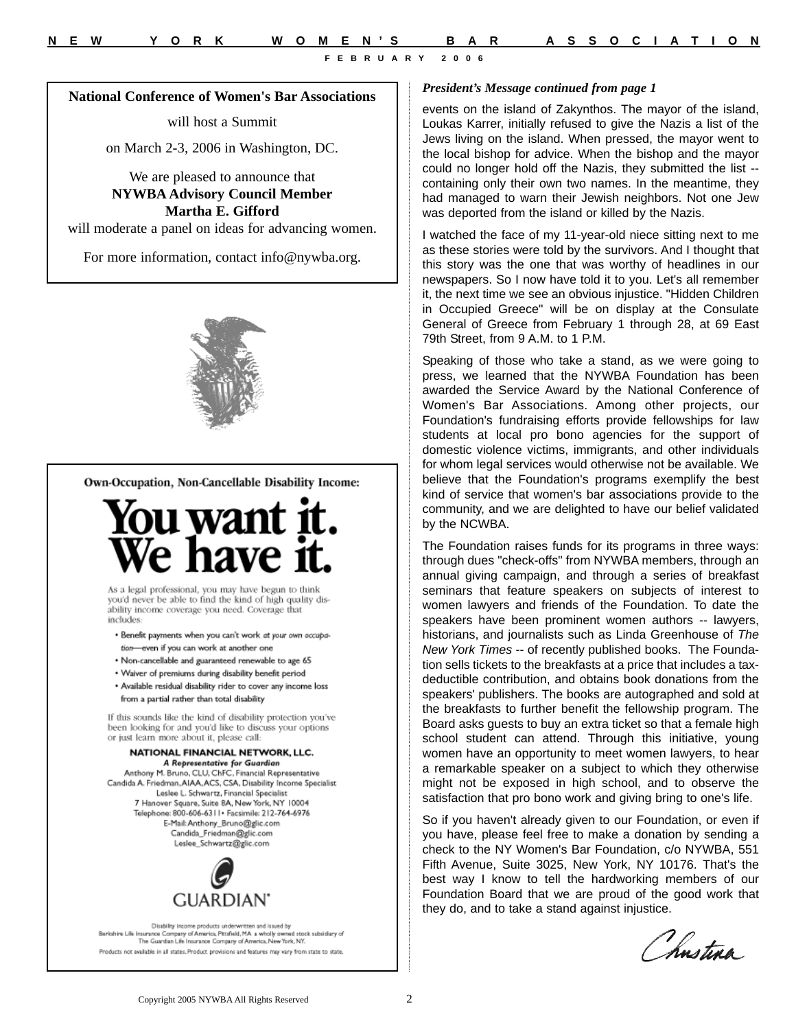#### **National Conference of Women's Bar Associations**

will host a Summit

on March 2-3, 2006 in Washington, DC.

We are pleased to announce that **NYWBA Advisory Council Member Martha E. Gifford**

will moderate a panel on ideas for advancing women.

For more information, contact info@nywba.org.



Own-Occupation, Non-Cancellable Disability Income:



As a legal professional, you may have begun to think you'd never be able to find the kind of high quality disability income coverage you need. Coverage that includes:

· Benefit payments when you can't work at your own occupation-even if you can work at another one

- · Non-cancellable and guaranteed renewable to age 65
- . Waiver of premiums during disability benefit period
- · Available residual disability rider to cover any income loss from a partial rather than total disability

If this sounds like the kind of disability protection you've been looking for and you'd like to discuss your options or just learn more about it, please call:

#### NATIONAL FINANCIAL NETWORK, LLC. A Representative for Guardian

Anthony M. Bruno, CLU, ChFC, Financial Representative Candida A. Friedman, AIAA, ACS, CSA, Disability Income Specialist Leslee L. Schwartz, Financial Specialist 7 Hanover Square, Suite 8A, New York, NY 10004 Telephone: 800-606-6311 • Facsimile: 212-764-6976 E-Mail: Anthony\_Bruno@glic.com Candida\_Friedman@glic.com Leslee\_Schwartz@glic.com



Disability income products underwritten and issued by<br>Beritahire Life Insurance Company of America, Pitafiaid, M.A. a wholly awned stock subsidiary of<br>The Guardian Life Imurance Company of America, New York, NY. Products not available in all states. Product provisions and features may vary from state to state.

#### *President's Message continued from page 1*

events on the island of Zakynthos. The mayor of the island, Loukas Karrer, initially refused to give the Nazis a list of the Jews living on the island. When pressed, the mayor went to the local bishop for advice. When the bishop and the mayor could no longer hold off the Nazis, they submitted the list - containing only their own two names. In the meantime, they had managed to warn their Jewish neighbors. Not one Jew was deported from the island or killed by the Nazis.

I watched the face of my 11-year-old niece sitting next to me as these stories were told by the survivors. And I thought that this story was the one that was worthy of headlines in our newspapers. So I now have told it to you. Let's all remember it, the next time we see an obvious injustice. "Hidden Children in Occupied Greece" will be on display at the Consulate General of Greece from February 1 through 28, at 69 East 79th Street, from 9 A.M. to 1 P.M.

Speaking of those who take a stand, as we were going to press, we learned that the NYWBA Foundation has been awarded the Service Award by the National Conference of Women's Bar Associations. Among other projects, our Foundation's fundraising efforts provide fellowships for law students at local pro bono agencies for the support of domestic violence victims, immigrants, and other individuals for whom legal services would otherwise not be available. We believe that the Foundation's programs exemplify the best kind of service that women's bar associations provide to the community, and we are delighted to have our belief validated by the NCWBA.

The Foundation raises funds for its programs in three ways: through dues "check-offs" from NYWBA members, through an annual giving campaign, and through a series of breakfast seminars that feature speakers on subjects of interest to women lawyers and friends of the Foundation. To date the speakers have been prominent women authors -- lawyers, historians, and journalists such as Linda Greenhouse of *The New York Times* -- of recently published books. The Foundation sells tickets to the breakfasts at a price that includes a taxdeductible contribution, and obtains book donations from the speakers' publishers. The books are autographed and sold at the breakfasts to further benefit the fellowship program. The Board asks guests to buy an extra ticket so that a female high school student can attend. Through this initiative, young women have an opportunity to meet women lawyers, to hear a remarkable speaker on a subject to which they otherwise might not be exposed in high school, and to observe the satisfaction that pro bono work and giving bring to one's life.

So if you haven't already given to our Foundation, or even if you have, please feel free to make a donation by sending a check to the NY Women's Bar Foundation, c/o NYWBA, 551 Fifth Avenue, Suite 3025, New York, NY 10176. That's the best way I know to tell the hardworking members of our Foundation Board that we are proud of the good work that they do, and to take a stand against injustice.

Chnstina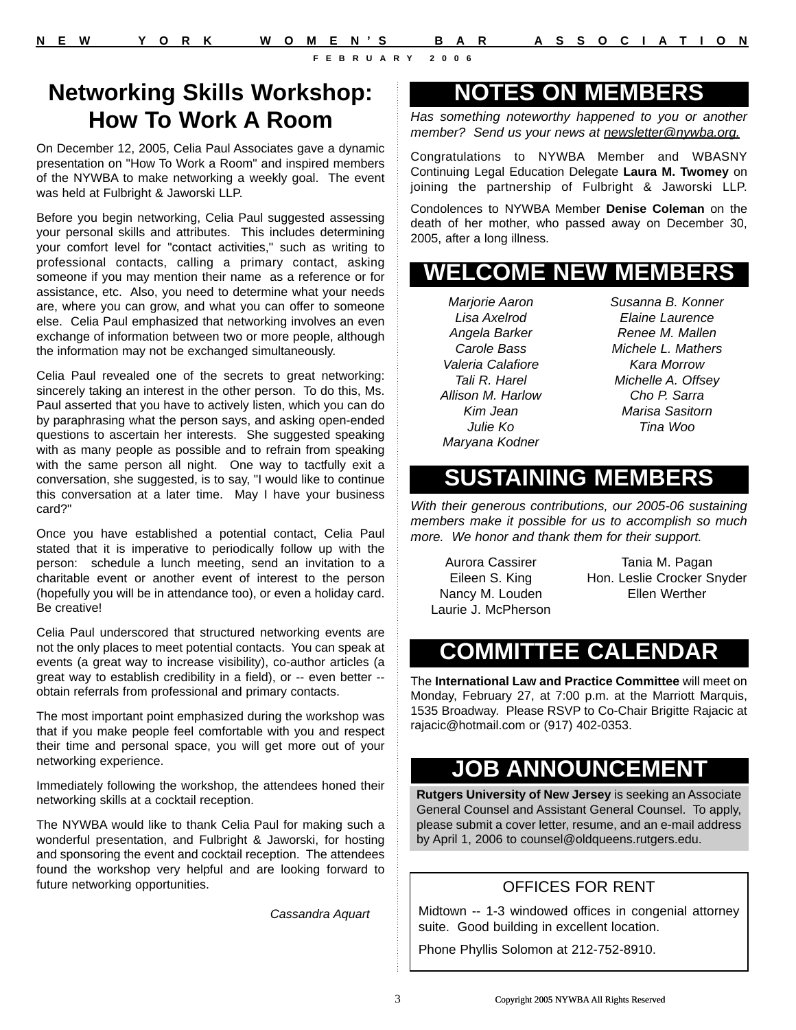### **Networking Skills Workshop: How To Work A Room**

On December 12, 2005, Celia Paul Associates gave a dynamic presentation on "How To Work a Room" and inspired members of the NYWBA to make networking a weekly goal. The event was held at Fulbright & Jaworski LLP.

Before you begin networking, Celia Paul suggested assessing your personal skills and attributes. This includes determining your comfort level for "contact activities," such as writing to professional contacts, calling a primary contact, asking someone if you may mention their name as a reference or for assistance, etc. Also, you need to determine what your needs are, where you can grow, and what you can offer to someone else. Celia Paul emphasized that networking involves an even exchange of information between two or more people, although the information may not be exchanged simultaneously.

Celia Paul revealed one of the secrets to great networking: sincerely taking an interest in the other person. To do this, Ms. Paul asserted that you have to actively listen, which you can do by paraphrasing what the person says, and asking open-ended questions to ascertain her interests. She suggested speaking with as many people as possible and to refrain from speaking with the same person all night. One way to tactfully exit a conversation, she suggested, is to say, "I would like to continue this conversation at a later time. May I have your business card?"

Once you have established a potential contact, Celia Paul stated that it is imperative to periodically follow up with the person: schedule a lunch meeting, send an invitation to a charitable event or another event of interest to the person (hopefully you will be in attendance too), or even a holiday card. Be creative!

Celia Paul underscored that structured networking events are not the only places to meet potential contacts. You can speak at events (a great way to increase visibility), co-author articles (a great way to establish credibility in a field), or -- even better - obtain referrals from professional and primary contacts.

The most important point emphasized during the workshop was that if you make people feel comfortable with you and respect their time and personal space, you will get more out of your networking experience.

Immediately following the workshop, the attendees honed their networking skills at a cocktail reception.

The NYWBA would like to thank Celia Paul for making such a wonderful presentation, and Fulbright & Jaworski, for hosting and sponsoring the event and cocktail reception. The attendees found the workshop very helpful and are looking forward to future networking opportunities.

*Cassandra Aquart*

### **NOTES ON MEMBERS**

*Has something noteworthy happened to you or another member? Send us your news at newsletter@nywba.org.*

Congratulations to NYWBA Member and WBASNY Continuing Legal Education Delegate **Laura M. Twomey** on joining the partnership of Fulbright & Jaworski LLP.

Condolences to NYWBA Member **Denise Coleman** on the death of her mother, who passed away on December 30, 2005, after a long illness.

## **WELCOME NEW MEMBERS**

*Marjorie Aaron Lisa Axelrod Angela Barker Carole Bass Valeria Calafiore Tali R. Harel Allison M. Harlow Kim Jean Julie Ko Maryana Kodner*

*Susanna B. Konner Elaine Laurence Renee M. Mallen Michele L. Mathers Kara Morrow Michelle A. Offsey Cho P. Sarra Marisa Sasitorn Tina Woo*

## **SUSTAINING MEMBERS**

*With their generous contributions, our 2005-06 sustaining members make it possible for us to accomplish so much more. We honor and thank them for their support.*

Aurora Cassirer Eileen S. King Nancy M. Louden Laurie J. McPherson

Tania M. Pagan Hon. Leslie Crocker Snyder Ellen Werther

# **COMMITTEE CALENDAR**

The **International Law and Practice Committee** will meet on Monday, February 27, at 7:00 p.m. at the Marriott Marquis, 1535 Broadway. Please RSVP to Co-Chair Brigitte Rajacic at rajacic@hotmail.com or (917) 402-0353.

## **JOB ANNOUNCEMENT**

**Rutgers University of New Jersey** is seeking an Associate General Counsel and Assistant General Counsel. To apply, please submit a cover letter, resume, and an e-mail address by April 1, 2006 to counsel@oldqueens.rutgers.edu.

### OFFICES FOR RENT

Midtown -- 1-3 windowed offices in congenial attorney suite. Good building in excellent location.

Phone Phyllis Solomon at 212-752-8910.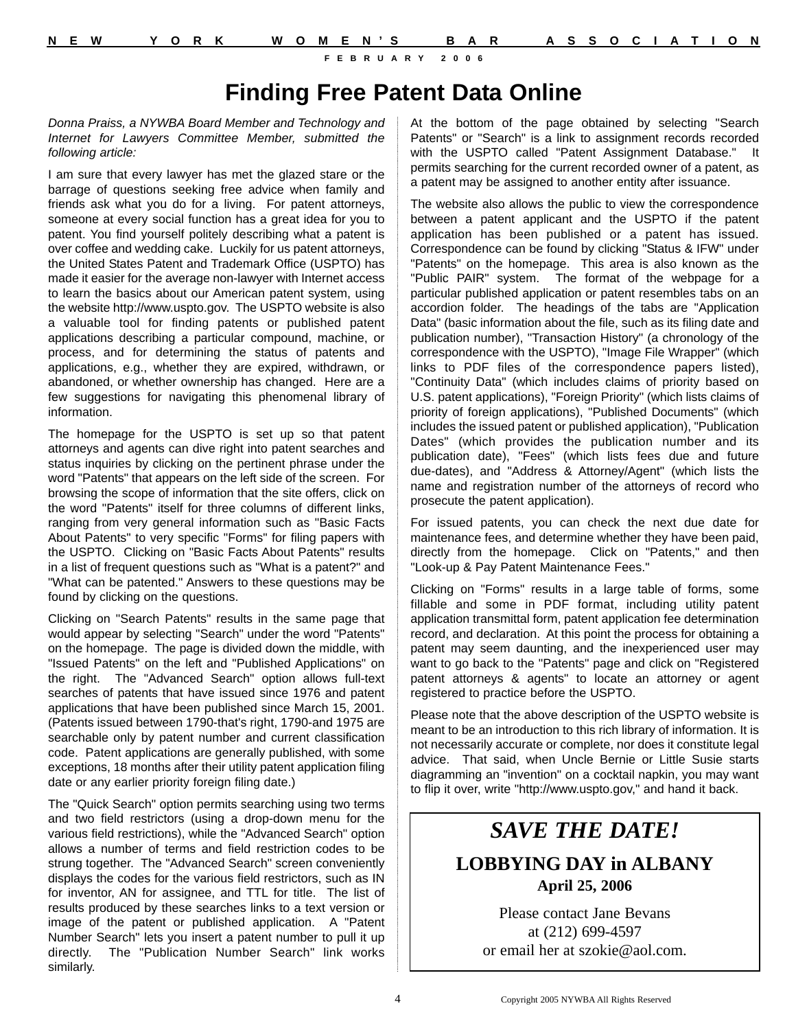### **Finding Free Patent Data Online**

*Donna Praiss, a NYWBA Board Member and Technology and Internet for Lawyers Committee Member, submitted the following article:*

I am sure that every lawyer has met the glazed stare or the barrage of questions seeking free advice when family and friends ask what you do for a living. For patent attorneys, someone at every social function has a great idea for you to patent. You find yourself politely describing what a patent is over coffee and wedding cake. Luckily for us patent attorneys, the United States Patent and Trademark Office (USPTO) has made it easier for the average non-lawyer with Internet access to learn the basics about our American patent system, using the website http://www.uspto.gov. The USPTO website is also a valuable tool for finding patents or published patent applications describing a particular compound, machine, or process, and for determining the status of patents and applications, e.g., whether they are expired, withdrawn, or abandoned, or whether ownership has changed. Here are a few suggestions for navigating this phenomenal library of information.

The homepage for the USPTO is set up so that patent attorneys and agents can dive right into patent searches and status inquiries by clicking on the pertinent phrase under the word "Patents" that appears on the left side of the screen. For browsing the scope of information that the site offers, click on the word "Patents" itself for three columns of different links, ranging from very general information such as "Basic Facts About Patents" to very specific "Forms" for filing papers with the USPTO. Clicking on "Basic Facts About Patents" results in a list of frequent questions such as "What is a patent?" and "What can be patented." Answers to these questions may be found by clicking on the questions.

Clicking on "Search Patents" results in the same page that would appear by selecting "Search" under the word "Patents" on the homepage. The page is divided down the middle, with "Issued Patents" on the left and "Published Applications" on the right. The "Advanced Search" option allows full-text searches of patents that have issued since 1976 and patent applications that have been published since March 15, 2001. (Patents issued between 1790-that's right, 1790-and 1975 are searchable only by patent number and current classification code. Patent applications are generally published, with some exceptions, 18 months after their utility patent application filing date or any earlier priority foreign filing date.)

The "Quick Search" option permits searching using two terms and two field restrictors (using a drop-down menu for the various field restrictions), while the "Advanced Search" option allows a number of terms and field restriction codes to be strung together. The "Advanced Search" screen conveniently displays the codes for the various field restrictors, such as IN for inventor, AN for assignee, and TTL for title. The list of results produced by these searches links to a text version or image of the patent or published application. A "Patent Number Search" lets you insert a patent number to pull it up directly. The "Publication Number Search" link works similarly.

At the bottom of the page obtained by selecting "Search Patents" or "Search" is a link to assignment records recorded with the USPTO called "Patent Assignment Database." It permits searching for the current recorded owner of a patent, as a patent may be assigned to another entity after issuance.

The website also allows the public to view the correspondence between a patent applicant and the USPTO if the patent application has been published or a patent has issued. Correspondence can be found by clicking "Status & IFW" under "Patents" on the homepage. This area is also known as the "Public PAIR" system. The format of the webpage for a particular published application or patent resembles tabs on an accordion folder. The headings of the tabs are "Application Data" (basic information about the file, such as its filing date and publication number), "Transaction History" (a chronology of the correspondence with the USPTO), "Image File Wrapper" (which links to PDF files of the correspondence papers listed), "Continuity Data" (which includes claims of priority based on U.S. patent applications), "Foreign Priority" (which lists claims of priority of foreign applications), "Published Documents" (which includes the issued patent or published application), "Publication Dates" (which provides the publication number and its publication date), "Fees" (which lists fees due and future due-dates), and "Address & Attorney/Agent" (which lists the name and registration number of the attorneys of record who prosecute the patent application).

For issued patents, you can check the next due date for maintenance fees, and determine whether they have been paid, directly from the homepage. Click on "Patents," and then "Look-up & Pay Patent Maintenance Fees."

Clicking on "Forms" results in a large table of forms, some fillable and some in PDF format, including utility patent application transmittal form, patent application fee determination record, and declaration. At this point the process for obtaining a patent may seem daunting, and the inexperienced user may want to go back to the "Patents" page and click on "Registered patent attorneys & agents" to locate an attorney or agent registered to practice before the USPTO.

Please note that the above description of the USPTO website is meant to be an introduction to this rich library of information. It is not necessarily accurate or complete, nor does it constitute legal advice. That said, when Uncle Bernie or Little Susie starts diagramming an "invention" on a cocktail napkin, you may want to flip it over, write "http://www.uspto.gov," and hand it back.

## *SAVE THE DATE!* **LOBBYING DAY in ALBANY April 25, 2006**

Please contact Jane Bevans at (212) 699-4597 or email her at szokie@aol.com.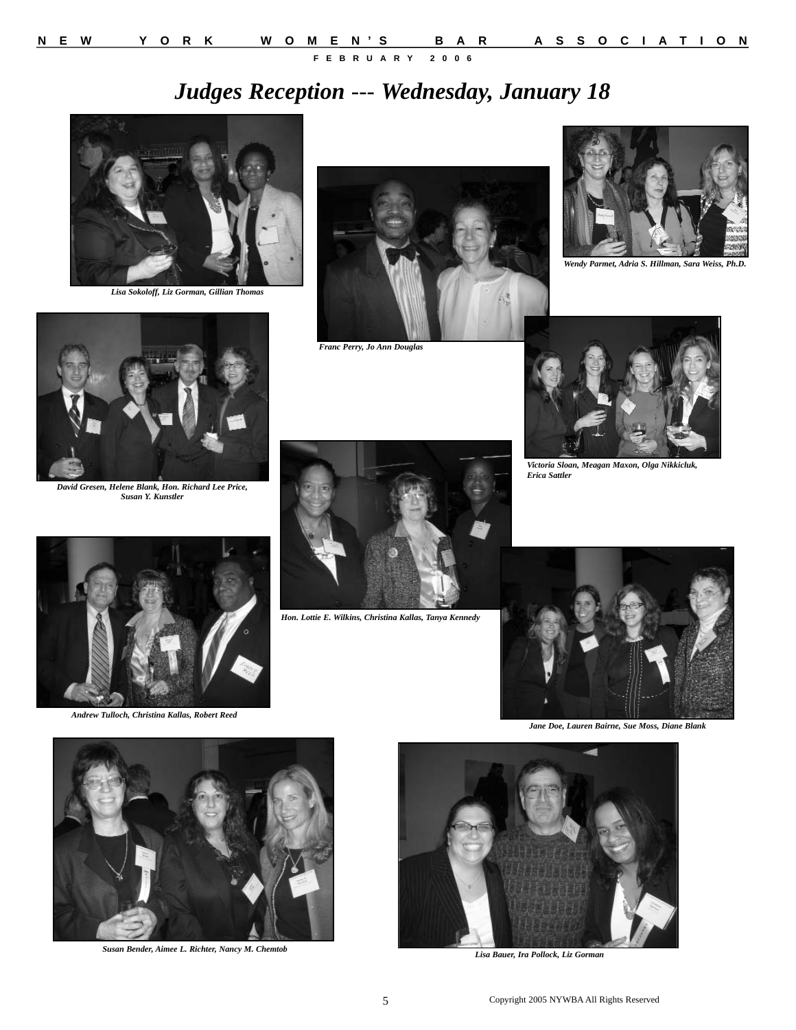# *Judges Reception --- Wednesday, January 18*



*Lisa Sokoloff, Liz Gorman, Gillian Thomas*



*Franc Perry, Jo Ann Douglas*



*Wendy Parmet, Adria S. Hillman, Sara Weiss, Ph.D.* 



*David Gresen, Helene Blank, Hon. Richard Lee Price, Susan Y. Kunstler*



*Hon. Lottie E. Wilkins, Christina Kallas, Tanya Kennedy*



*Victoria Sloan, Meagan Maxon, Olga Nikkicluk, Erica Sattler*



*Andrew Tulloch, Christina Kallas, Robert Reed*



*Jane Doe, Lauren Bairne, Sue Moss, Diane Blank*



*Susan Bender, Aimee L. Richter, Nancy M. Chemtob*



*Lisa Bauer, Ira Pollock, Liz Gorman*